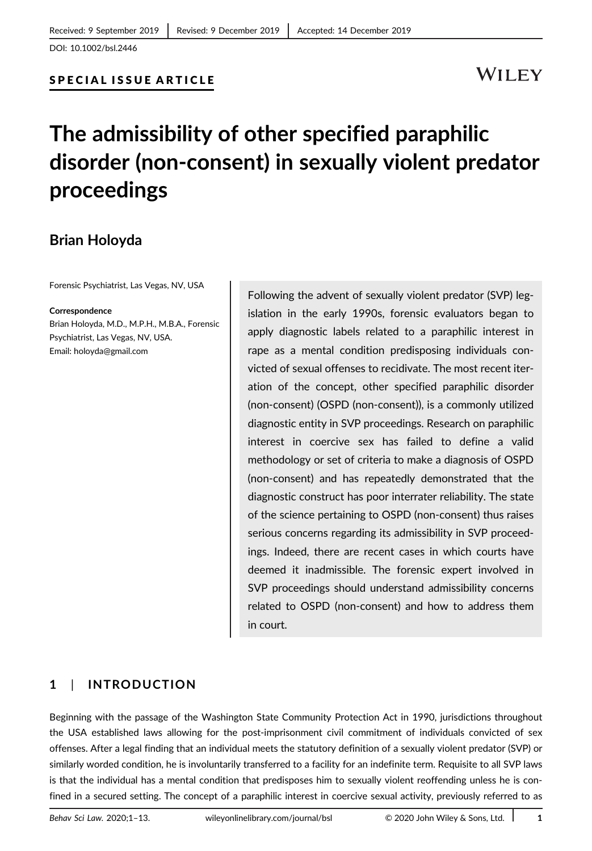## **WILEY**

# **The admissibility of other specified paraphilic disorder (non-consent) in sexually violent predator proceedings**

## **Brian Holoyda**

Forensic Psychiatrist, Las Vegas, NV, USA

#### **Correspondence**

Brian Holoyda, M.D., M.P.H., M.B.A., Forensic Psychiatrist, Las Vegas, NV, USA. Email: holoyda@gmail.com

Following the advent of sexually violent predator (SVP) legislation in the early 1990s, forensic evaluators began to apply diagnostic labels related to a paraphilic interest in rape as a mental condition predisposing individuals convicted of sexual offenses to recidivate. The most recent iteration of the concept, other specified paraphilic disorder (non-consent) (OSPD (non-consent)), is a commonly utilized diagnostic entity in SVP proceedings. Research on paraphilic interest in coercive sex has failed to define a valid methodology or set of criteria to make a diagnosis of OSPD (non-consent) and has repeatedly demonstrated that the diagnostic construct has poor interrater reliability. The state of the science pertaining to OSPD (non-consent) thus raises serious concerns regarding its admissibility in SVP proceedings. Indeed, there are recent cases in which courts have deemed it inadmissible. The forensic expert involved in SVP proceedings should understand admissibility concerns related to OSPD (non-consent) and how to address them in court.

#### **1** | **INTRODUCTION**

Beginning with the passage of the Washington State Community Protection Act in 1990, jurisdictions throughout the USA established laws allowing for the post-imprisonment civil commitment of individuals convicted of sex offenses. After a legal finding that an individual meets the statutory definition of a sexually violent predator (SVP) or similarly worded condition, he is involuntarily transferred to a facility for an indefinite term. Requisite to all SVP laws is that the individual has a mental condition that predisposes him to sexually violent reoffending unless he is confined in a secured setting. The concept of a paraphilic interest in coercive sexual activity, previously referred to as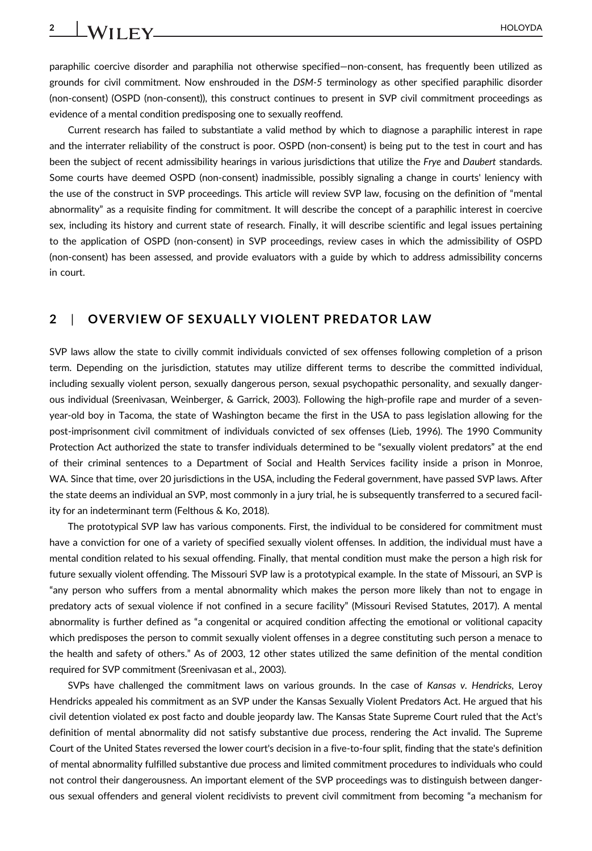paraphilic coercive disorder and paraphilia not otherwise specified—non-consent, has frequently been utilized as grounds for civil commitment. Now enshrouded in the *DSM-5* terminology as other specified paraphilic disorder (non-consent) (OSPD (non-consent)), this construct continues to present in SVP civil commitment proceedings as evidence of a mental condition predisposing one to sexually reoffend.

Current research has failed to substantiate a valid method by which to diagnose a paraphilic interest in rape and the interrater reliability of the construct is poor. OSPD (non-consent) is being put to the test in court and has been the subject of recent admissibility hearings in various jurisdictions that utilize the *Frye* and *Daubert* standards. Some courts have deemed OSPD (non-consent) inadmissible, possibly signaling a change in courts' leniency with the use of the construct in SVP proceedings. This article will review SVP law, focusing on the definition of "mental abnormality" as a requisite finding for commitment. It will describe the concept of a paraphilic interest in coercive sex, including its history and current state of research. Finally, it will describe scientific and legal issues pertaining to the application of OSPD (non-consent) in SVP proceedings, review cases in which the admissibility of OSPD (non-consent) has been assessed, and provide evaluators with a guide by which to address admissibility concerns in court.

#### **2** | **OVERVIEW OF SEXUALLY VIOLENT PREDATOR LAW**

SVP laws allow the state to civilly commit individuals convicted of sex offenses following completion of a prison term. Depending on the jurisdiction, statutes may utilize different terms to describe the committed individual, including sexually violent person, sexually dangerous person, sexual psychopathic personality, and sexually dangerous individual (Sreenivasan, Weinberger, & Garrick, 2003). Following the high-profile rape and murder of a sevenyear-old boy in Tacoma, the state of Washington became the first in the USA to pass legislation allowing for the post-imprisonment civil commitment of individuals convicted of sex offenses (Lieb, 1996). The 1990 Community Protection Act authorized the state to transfer individuals determined to be "sexually violent predators" at the end of their criminal sentences to a Department of Social and Health Services facility inside a prison in Monroe, WA. Since that time, over 20 jurisdictions in the USA, including the Federal government, have passed SVP laws. After the state deems an individual an SVP, most commonly in a jury trial, he is subsequently transferred to a secured facility for an indeterminant term (Felthous & Ko, 2018).

The prototypical SVP law has various components. First, the individual to be considered for commitment must have a conviction for one of a variety of specified sexually violent offenses. In addition, the individual must have a mental condition related to his sexual offending. Finally, that mental condition must make the person a high risk for future sexually violent offending. The Missouri SVP law is a prototypical example. In the state of Missouri, an SVP is "any person who suffers from a mental abnormality which makes the person more likely than not to engage in predatory acts of sexual violence if not confined in a secure facility" (Missouri Revised Statutes, 2017). A mental abnormality is further defined as "a congenital or acquired condition affecting the emotional or volitional capacity which predisposes the person to commit sexually violent offenses in a degree constituting such person a menace to the health and safety of others." As of 2003, 12 other states utilized the same definition of the mental condition required for SVP commitment (Sreenivasan et al., 2003).

SVPs have challenged the commitment laws on various grounds. In the case of *Kansas v. Hendricks*, Leroy Hendricks appealed his commitment as an SVP under the Kansas Sexually Violent Predators Act. He argued that his civil detention violated ex post facto and double jeopardy law. The Kansas State Supreme Court ruled that the Act's definition of mental abnormality did not satisfy substantive due process, rendering the Act invalid. The Supreme Court of the United States reversed the lower court's decision in a five-to-four split, finding that the state's definition of mental abnormality fulfilled substantive due process and limited commitment procedures to individuals who could not control their dangerousness. An important element of the SVP proceedings was to distinguish between dangerous sexual offenders and general violent recidivists to prevent civil commitment from becoming "a mechanism for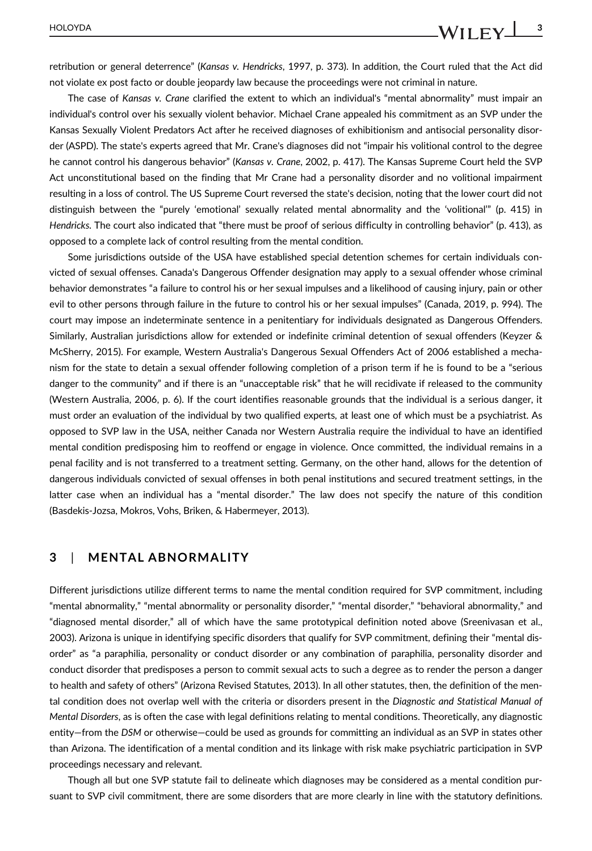retribution or general deterrence" (*Kansas v. Hendricks*, 1997, p. 373). In addition, the Court ruled that the Act did not violate ex post facto or double jeopardy law because the proceedings were not criminal in nature.

The case of *Kansas v. Crane* clarified the extent to which an individual's "mental abnormality" must impair an individual's control over his sexually violent behavior. Michael Crane appealed his commitment as an SVP under the Kansas Sexually Violent Predators Act after he received diagnoses of exhibitionism and antisocial personality disorder (ASPD). The state's experts agreed that Mr. Crane's diagnoses did not "impair his volitional control to the degree he cannot control his dangerous behavior" (*Kansas v. Crane*, 2002, p. 417). The Kansas Supreme Court held the SVP Act unconstitutional based on the finding that Mr Crane had a personality disorder and no volitional impairment resulting in a loss of control. The US Supreme Court reversed the state's decision, noting that the lower court did not distinguish between the "purely 'emotional' sexually related mental abnormality and the 'volitional'" (p. 415) in *Hendricks.* The court also indicated that "there must be proof of serious difficulty in controlling behavior" (p. 413), as opposed to a complete lack of control resulting from the mental condition.

Some jurisdictions outside of the USA have established special detention schemes for certain individuals convicted of sexual offenses. Canada's Dangerous Offender designation may apply to a sexual offender whose criminal behavior demonstrates "a failure to control his or her sexual impulses and a likelihood of causing injury, pain or other evil to other persons through failure in the future to control his or her sexual impulses" (Canada, 2019, p. 994). The court may impose an indeterminate sentence in a penitentiary for individuals designated as Dangerous Offenders. Similarly, Australian jurisdictions allow for extended or indefinite criminal detention of sexual offenders (Keyzer & McSherry, 2015). For example, Western Australia's Dangerous Sexual Offenders Act of 2006 established a mechanism for the state to detain a sexual offender following completion of a prison term if he is found to be a "serious danger to the community" and if there is an "unacceptable risk" that he will recidivate if released to the community (Western Australia, 2006, p. 6). If the court identifies reasonable grounds that the individual is a serious danger, it must order an evaluation of the individual by two qualified experts, at least one of which must be a psychiatrist. As opposed to SVP law in the USA, neither Canada nor Western Australia require the individual to have an identified mental condition predisposing him to reoffend or engage in violence. Once committed, the individual remains in a penal facility and is not transferred to a treatment setting. Germany, on the other hand, allows for the detention of dangerous individuals convicted of sexual offenses in both penal institutions and secured treatment settings, in the latter case when an individual has a "mental disorder." The law does not specify the nature of this condition (Basdekis-Jozsa, Mokros, Vohs, Briken, & Habermeyer, 2013).

#### **3** | **MENTAL ABNORMALITY**

Different jurisdictions utilize different terms to name the mental condition required for SVP commitment, including "mental abnormality," "mental abnormality or personality disorder," "mental disorder," "behavioral abnormality," and "diagnosed mental disorder," all of which have the same prototypical definition noted above (Sreenivasan et al., 2003). Arizona is unique in identifying specific disorders that qualify for SVP commitment, defining their "mental disorder" as "a paraphilia, personality or conduct disorder or any combination of paraphilia, personality disorder and conduct disorder that predisposes a person to commit sexual acts to such a degree as to render the person a danger to health and safety of others" (Arizona Revised Statutes, 2013). In all other statutes, then, the definition of the mental condition does not overlap well with the criteria or disorders present in the *Diagnostic and Statistical Manual of Mental Disorders*, as is often the case with legal definitions relating to mental conditions. Theoretically, any diagnostic entity–from the *DSM* or otherwise–could be used as grounds for committing an individual as an SVP in states other than Arizona. The identification of a mental condition and its linkage with risk make psychiatric participation in SVP proceedings necessary and relevant.

Though all but one SVP statute fail to delineate which diagnoses may be considered as a mental condition pursuant to SVP civil commitment, there are some disorders that are more clearly in line with the statutory definitions.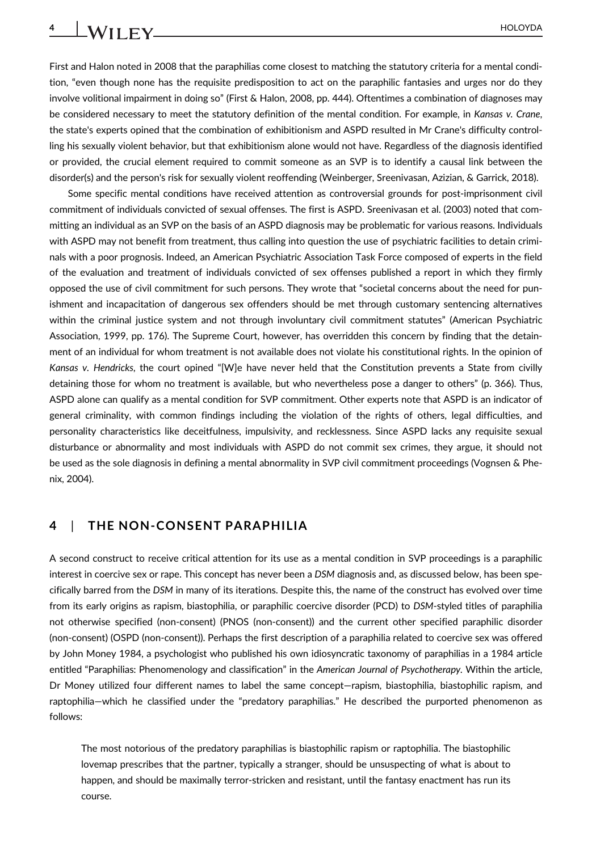First and Halon noted in 2008 that the paraphilias come closest to matching the statutory criteria for a mental condition, "even though none has the requisite predisposition to act on the paraphilic fantasies and urges nor do they involve volitional impairment in doing so" (First & Halon, 2008, pp. 444). Oftentimes a combination of diagnoses may be considered necessary to meet the statutory definition of the mental condition. For example, in *Kansas v. Crane*, the state's experts opined that the combination of exhibitionism and ASPD resulted in Mr Crane's difficulty controlling his sexually violent behavior, but that exhibitionism alone would not have. Regardless of the diagnosis identified or provided, the crucial element required to commit someone as an SVP is to identify a causal link between the disorder(s) and the person's risk for sexually violent reoffending (Weinberger, Sreenivasan, Azizian, & Garrick, 2018).

Some specific mental conditions have received attention as controversial grounds for post-imprisonment civil commitment of individuals convicted of sexual offenses. The first is ASPD. Sreenivasan et al. (2003) noted that committing an individual as an SVP on the basis of an ASPD diagnosis may be problematic for various reasons. Individuals with ASPD may not benefit from treatment, thus calling into question the use of psychiatric facilities to detain criminals with a poor prognosis. Indeed, an American Psychiatric Association Task Force composed of experts in the field of the evaluation and treatment of individuals convicted of sex offenses published a report in which they firmly opposed the use of civil commitment for such persons. They wrote that "societal concerns about the need for punishment and incapacitation of dangerous sex offenders should be met through customary sentencing alternatives within the criminal justice system and not through involuntary civil commitment statutes" (American Psychiatric Association, 1999, pp. 176). The Supreme Court, however, has overridden this concern by finding that the detainment of an individual for whom treatment is not available does not violate his constitutional rights. In the opinion of *Kansas v. Hendricks*, the court opined "[W]e have never held that the Constitution prevents a State from civilly detaining those for whom no treatment is available, but who nevertheless pose a danger to others" (p. 366). Thus, ASPD alone can qualify as a mental condition for SVP commitment. Other experts note that ASPD is an indicator of general criminality, with common findings including the violation of the rights of others, legal difficulties, and personality characteristics like deceitfulness, impulsivity, and recklessness. Since ASPD lacks any requisite sexual disturbance or abnormality and most individuals with ASPD do not commit sex crimes, they argue, it should not be used as the sole diagnosis in defining a mental abnormality in SVP civil commitment proceedings (Vognsen & Phenix, 2004).

#### **4** | **THE NON-CONSENT PARAPHILIA**

A second construct to receive critical attention for its use as a mental condition in SVP proceedings is a paraphilic interest in coercive sex or rape. This concept has never been a *DSM* diagnosis and, as discussed below, has been specifically barred from the *DSM* in many of its iterations. Despite this, the name of the construct has evolved over time from its early origins as rapism, biastophilia, or paraphilic coercive disorder (PCD) to *DSM*-styled titles of paraphilia not otherwise specified (non-consent) (PNOS (non-consent)) and the current other specified paraphilic disorder (non-consent) (OSPD (non-consent)). Perhaps the first description of a paraphilia related to coercive sex was offered by John Money 1984, a psychologist who published his own idiosyncratic taxonomy of paraphilias in a 1984 article entitled "Paraphilias: Phenomenology and classification" in the *American Journal of Psychotherapy.* Within the article, Dr Money utilized four different names to label the same concept—rapism, biastophilia, biastophilic rapism, and raptophilia—which he classified under the "predatory paraphilias." He described the purported phenomenon as follows:

The most notorious of the predatory paraphilias is biastophilic rapism or raptophilia. The biastophilic lovemap prescribes that the partner, typically a stranger, should be unsuspecting of what is about to happen, and should be maximally terror-stricken and resistant, until the fantasy enactment has run its course.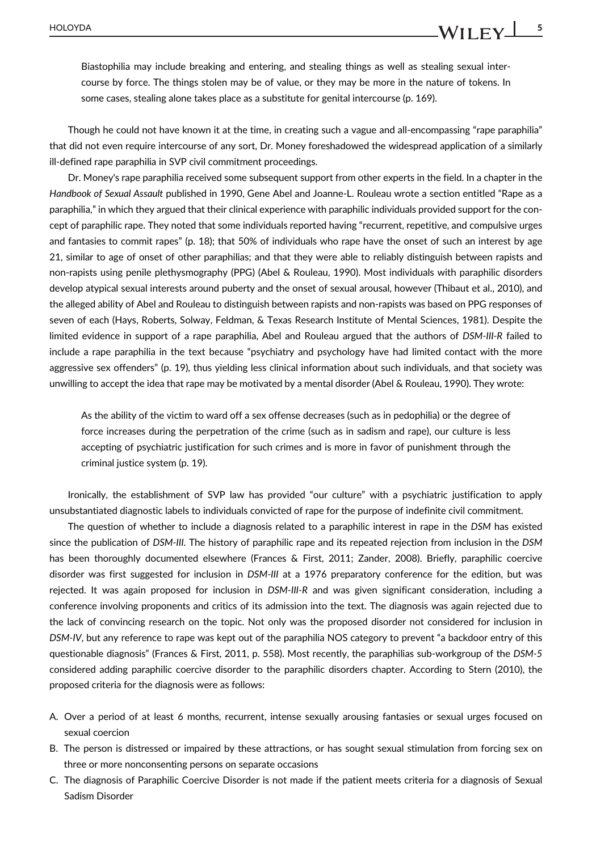Biastophilia may include breaking and entering, and stealing things as well as stealing sexual intercourse by force. The things stolen may be of value, or they may be more in the nature of tokens. In some cases, stealing alone takes place as a substitute for genital intercourse (p. 169).

Though he could not have known it at the time, in creating such a vague and all-encompassing "rape paraphilia" that did not even require intercourse of any sort, Dr. Money foreshadowed the widespread application of a similarly ill-defined rape paraphilia in SVP civil commitment proceedings.

Dr. Money's rape paraphilia received some subsequent support from other experts in the field. In a chapter in the *Handbook of Sexual Assault* published in 1990, Gene Abel and Joanne-L. Rouleau wrote a section entitled "Rape as a paraphilia," in which they argued that their clinical experience with paraphilic individuals provided support for the concept of paraphilic rape. They noted that some individuals reported having "recurrent, repetitive, and compulsive urges and fantasies to commit rapes" (p. 18); that 50% of individuals who rape have the onset of such an interest by age 21, similar to age of onset of other paraphilias; and that they were able to reliably distinguish between rapists and non-rapists using penile plethysmography (PPG) (Abel & Rouleau, 1990). Most individuals with paraphilic disorders develop atypical sexual interests around puberty and the onset of sexual arousal, however (Thibaut et al., 2010), and the alleged ability of Abel and Rouleau to distinguish between rapists and non-rapists was based on PPG responses of seven of each (Hays, Roberts, Solway, Feldman, & Texas Research Institute of Mental Sciences, 1981). Despite the limited evidence in support of a rape paraphilia, Abel and Rouleau argued that the authors of *DSM-III-R* failed to include a rape paraphilia in the text because "psychiatry and psychology have had limited contact with the more aggressive sex offenders" (p. 19), thus yielding less clinical information about such individuals, and that society was unwilling to accept the idea that rape may be motivated by a mental disorder (Abel & Rouleau, 1990). They wrote:

As the ability of the victim to ward off a sex offense decreases (such as in pedophilia) or the degree of force increases during the perpetration of the crime (such as in sadism and rape), our culture is less accepting of psychiatric justification for such crimes and is more in favor of punishment through the criminal justice system (p. 19).

Ironically, the establishment of SVP law has provided "our culture" with a psychiatric justification to apply unsubstantiated diagnostic labels to individuals convicted of rape for the purpose of indefinite civil commitment.

The question of whether to include a diagnosis related to a paraphilic interest in rape in the *DSM* has existed since the publication of *DSM-III.* The history of paraphilic rape and its repeated rejection from inclusion in the *DSM* has been thoroughly documented elsewhere (Frances & First, 2011; Zander, 2008). Briefly, paraphilic coercive disorder was first suggested for inclusion in *DSM-III* at a 1976 preparatory conference for the edition, but was rejected. It was again proposed for inclusion in *DSM-III-R* and was given significant consideration, including a conference involving proponents and critics of its admission into the text. The diagnosis was again rejected due to the lack of convincing research on the topic. Not only was the proposed disorder not considered for inclusion in *DSM-IV*, but any reference to rape was kept out of the paraphilia NOS category to prevent "a backdoor entry of this questionable diagnosis" (Frances & First, 2011, p. 558). Most recently, the paraphilias sub-workgroup of the *DSM-5* considered adding paraphilic coercive disorder to the paraphilic disorders chapter. According to Stern (2010), the proposed criteria for the diagnosis were as follows:

- A. Over a period of at least 6 months, recurrent, intense sexually arousing fantasies or sexual urges focused on sexual coercion
- B. The person is distressed or impaired by these attractions, or has sought sexual stimulation from forcing sex on three or more nonconsenting persons on separate occasions
- C. The diagnosis of Paraphilic Coercive Disorder is not made if the patient meets criteria for a diagnosis of Sexual Sadism Disorder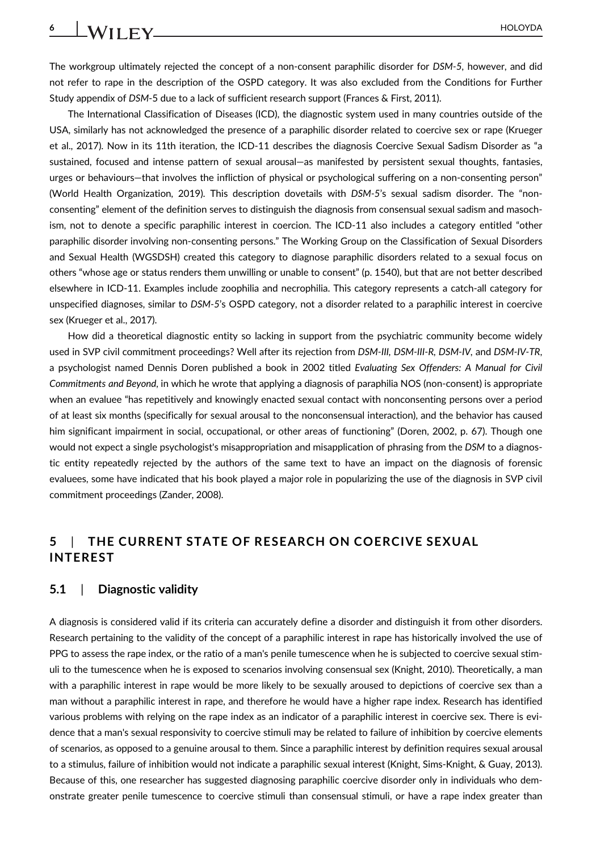The workgroup ultimately rejected the concept of a non-consent paraphilic disorder for *DSM-5*, however, and did not refer to rape in the description of the OSPD category. It was also excluded from the Conditions for Further Study appendix of *DSM*-5 due to a lack of sufficient research support (Frances & First, 2011).

The International Classification of Diseases (ICD), the diagnostic system used in many countries outside of the USA, similarly has not acknowledged the presence of a paraphilic disorder related to coercive sex or rape (Krueger et al., 2017). Now in its 11th iteration, the ICD-11 describes the diagnosis Coercive Sexual Sadism Disorder as "a sustained, focused and intense pattern of sexual arousal—as manifested by persistent sexual thoughts, fantasies, urges or behaviours—that involves the infliction of physical or psychological suffering on a non-consenting person" (World Health Organization, 2019). This description dovetails with *DSM-5*'s sexual sadism disorder. The "nonconsenting" element of the definition serves to distinguish the diagnosis from consensual sexual sadism and masochism, not to denote a specific paraphilic interest in coercion. The ICD-11 also includes a category entitled "other paraphilic disorder involving non-consenting persons." The Working Group on the Classification of Sexual Disorders and Sexual Health (WGSDSH) created this category to diagnose paraphilic disorders related to a sexual focus on others "whose age or status renders them unwilling or unable to consent" (p. 1540), but that are not better described elsewhere in ICD-11. Examples include zoophilia and necrophilia. This category represents a catch-all category for unspecified diagnoses, similar to *DSM-5*'s OSPD category, not a disorder related to a paraphilic interest in coercive sex (Krueger et al., 2017).

How did a theoretical diagnostic entity so lacking in support from the psychiatric community become widely used in SVP civil commitment proceedings? Well after its rejection from *DSM-III, DSM-III-R, DSM-IV,* and *DSM-IV-TR*, a psychologist named Dennis Doren published a book in 2002 titled *Evaluating Sex Offenders: A Manual for Civil Commitments and Beyond*, in which he wrote that applying a diagnosis of paraphilia NOS (non-consent) is appropriate when an evaluee "has repetitively and knowingly enacted sexual contact with nonconsenting persons over a period of at least six months (specifically for sexual arousal to the nonconsensual interaction), and the behavior has caused him significant impairment in social, occupational, or other areas of functioning" (Doren, 2002, p. 67). Though one would not expect a single psychologist's misappropriation and misapplication of phrasing from the *DSM* to a diagnostic entity repeatedly rejected by the authors of the same text to have an impact on the diagnosis of forensic evaluees, some have indicated that his book played a major role in popularizing the use of the diagnosis in SVP civil commitment proceedings (Zander, 2008).

#### **5** | **THE CURRENT STATE OF RESEARCH ON COERCIVE SEXUAL INTEREST**

#### **5.1** | **Diagnostic validity**

A diagnosis is considered valid if its criteria can accurately define a disorder and distinguish it from other disorders. Research pertaining to the validity of the concept of a paraphilic interest in rape has historically involved the use of PPG to assess the rape index, or the ratio of a man's penile tumescence when he is subjected to coercive sexual stimuli to the tumescence when he is exposed to scenarios involving consensual sex (Knight, 2010). Theoretically, a man with a paraphilic interest in rape would be more likely to be sexually aroused to depictions of coercive sex than a man without a paraphilic interest in rape, and therefore he would have a higher rape index. Research has identified various problems with relying on the rape index as an indicator of a paraphilic interest in coercive sex. There is evidence that a man's sexual responsivity to coercive stimuli may be related to failure of inhibition by coercive elements of scenarios, as opposed to a genuine arousal to them. Since a paraphilic interest by definition requires sexual arousal to a stimulus, failure of inhibition would not indicate a paraphilic sexual interest (Knight, Sims-Knight, & Guay, 2013). Because of this, one researcher has suggested diagnosing paraphilic coercive disorder only in individuals who demonstrate greater penile tumescence to coercive stimuli than consensual stimuli, or have a rape index greater than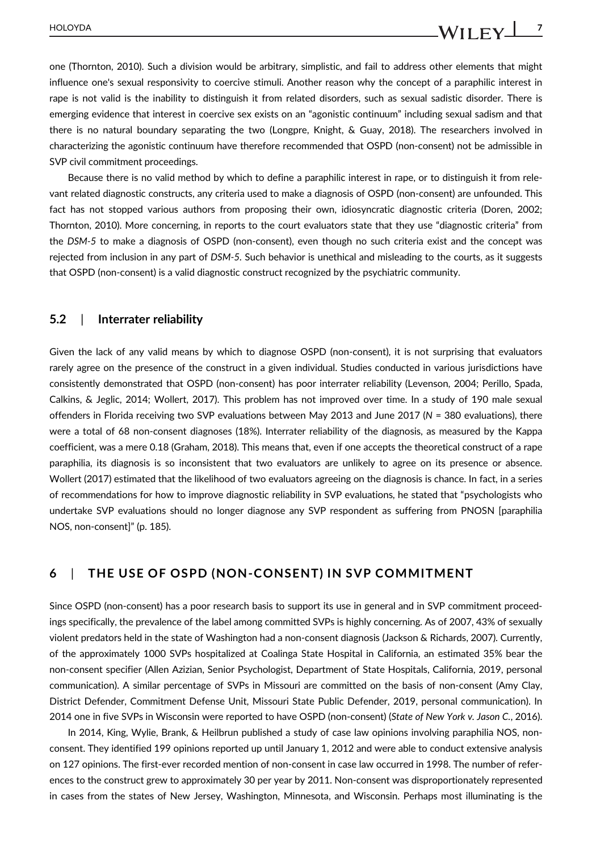one (Thornton, 2010). Such a division would be arbitrary, simplistic, and fail to address other elements that might influence one's sexual responsivity to coercive stimuli. Another reason why the concept of a paraphilic interest in rape is not valid is the inability to distinguish it from related disorders, such as sexual sadistic disorder. There is emerging evidence that interest in coercive sex exists on an "agonistic continuum" including sexual sadism and that there is no natural boundary separating the two (Longpre, Knight, & Guay, 2018). The researchers involved in characterizing the agonistic continuum have therefore recommended that OSPD (non-consent) not be admissible in SVP civil commitment proceedings.

Because there is no valid method by which to define a paraphilic interest in rape, or to distinguish it from relevant related diagnostic constructs, any criteria used to make a diagnosis of OSPD (non-consent) are unfounded. This fact has not stopped various authors from proposing their own, idiosyncratic diagnostic criteria (Doren, 2002; Thornton, 2010). More concerning, in reports to the court evaluators state that they use "diagnostic criteria" from the *DSM-5* to make a diagnosis of OSPD (non-consent), even though no such criteria exist and the concept was rejected from inclusion in any part of *DSM-5.* Such behavior is unethical and misleading to the courts, as it suggests that OSPD (non-consent) is a valid diagnostic construct recognized by the psychiatric community.

#### **5.2** | **Interrater reliability**

Given the lack of any valid means by which to diagnose OSPD (non-consent), it is not surprising that evaluators rarely agree on the presence of the construct in a given individual. Studies conducted in various jurisdictions have consistently demonstrated that OSPD (non-consent) has poor interrater reliability (Levenson, 2004; Perillo, Spada, Calkins, & Jeglic, 2014; Wollert, 2017). This problem has not improved over time. In a study of 190 male sexual offenders in Florida receiving two SVP evaluations between May 2013 and June 2017 (*N* = 380 evaluations), there were a total of 68 non-consent diagnoses (18%). Interrater reliability of the diagnosis, as measured by the Kappa coefficient, was a mere 0.18 (Graham, 2018). This means that, even if one accepts the theoretical construct of a rape paraphilia, its diagnosis is so inconsistent that two evaluators are unlikely to agree on its presence or absence. Wollert (2017) estimated that the likelihood of two evaluators agreeing on the diagnosis is chance. In fact, in a series of recommendations for how to improve diagnostic reliability in SVP evaluations, he stated that "psychologists who undertake SVP evaluations should no longer diagnose any SVP respondent as suffering from PNOSN [paraphilia NOS, non-consent]" (p. 185).

#### **6** | **THE USE OF OSPD (NON-CONSENT) IN SVP COMMITMENT**

Since OSPD (non-consent) has a poor research basis to support its use in general and in SVP commitment proceedings specifically, the prevalence of the label among committed SVPs is highly concerning. As of 2007, 43% of sexually violent predators held in the state of Washington had a non-consent diagnosis (Jackson & Richards, 2007). Currently, of the approximately 1000 SVPs hospitalized at Coalinga State Hospital in California, an estimated 35% bear the non-consent specifier (Allen Azizian, Senior Psychologist, Department of State Hospitals, California, 2019, personal communication). A similar percentage of SVPs in Missouri are committed on the basis of non-consent (Amy Clay, District Defender, Commitment Defense Unit, Missouri State Public Defender, 2019, personal communication). In 2014 one in five SVPs in Wisconsin were reported to have OSPD (non-consent) (*State of New York v. Jason C.*, 2016).

In 2014, King, Wylie, Brank, & Heilbrun published a study of case law opinions involving paraphilia NOS, nonconsent. They identified 199 opinions reported up until January 1, 2012 and were able to conduct extensive analysis on 127 opinions. The first-ever recorded mention of non-consent in case law occurred in 1998. The number of references to the construct grew to approximately 30 per year by 2011. Non-consent was disproportionately represented in cases from the states of New Jersey, Washington, Minnesota, and Wisconsin. Perhaps most illuminating is the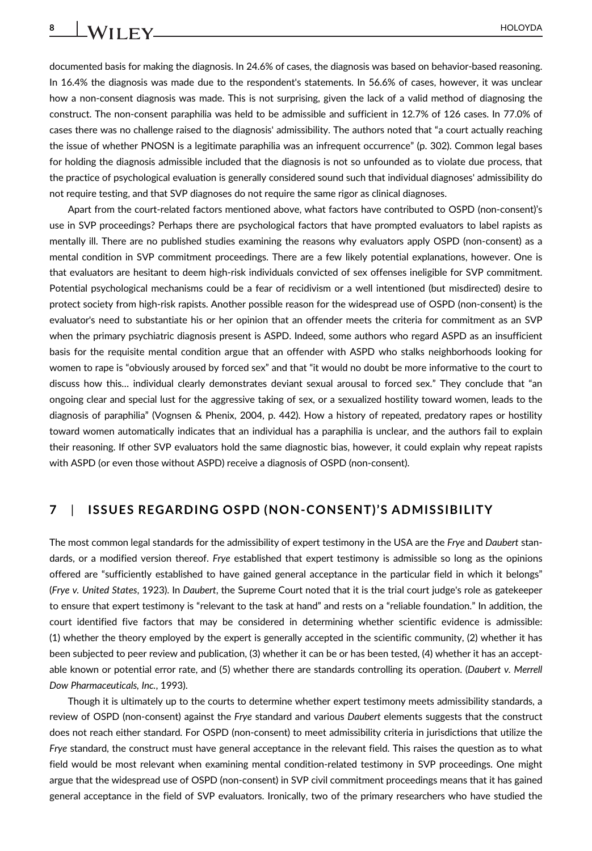documented basis for making the diagnosis. In 24.6% of cases, the diagnosis was based on behavior-based reasoning. In 16.4% the diagnosis was made due to the respondent's statements. In 56.6% of cases, however, it was unclear how a non-consent diagnosis was made. This is not surprising, given the lack of a valid method of diagnosing the construct. The non-consent paraphilia was held to be admissible and sufficient in 12.7% of 126 cases. In 77.0% of cases there was no challenge raised to the diagnosis' admissibility. The authors noted that "a court actually reaching the issue of whether PNOSN is a legitimate paraphilia was an infrequent occurrence" (p. 302). Common legal bases for holding the diagnosis admissible included that the diagnosis is not so unfounded as to violate due process, that the practice of psychological evaluation is generally considered sound such that individual diagnoses' admissibility do not require testing, and that SVP diagnoses do not require the same rigor as clinical diagnoses.

Apart from the court-related factors mentioned above, what factors have contributed to OSPD (non-consent)'s use in SVP proceedings? Perhaps there are psychological factors that have prompted evaluators to label rapists as mentally ill. There are no published studies examining the reasons why evaluators apply OSPD (non-consent) as a mental condition in SVP commitment proceedings. There are a few likely potential explanations, however. One is that evaluators are hesitant to deem high-risk individuals convicted of sex offenses ineligible for SVP commitment. Potential psychological mechanisms could be a fear of recidivism or a well intentioned (but misdirected) desire to protect society from high-risk rapists. Another possible reason for the widespread use of OSPD (non-consent) is the evaluator's need to substantiate his or her opinion that an offender meets the criteria for commitment as an SVP when the primary psychiatric diagnosis present is ASPD. Indeed, some authors who regard ASPD as an insufficient basis for the requisite mental condition argue that an offender with ASPD who stalks neighborhoods looking for women to rape is "obviously aroused by forced sex" and that "it would no doubt be more informative to the court to discuss how this… individual clearly demonstrates deviant sexual arousal to forced sex." They conclude that "an ongoing clear and special lust for the aggressive taking of sex, or a sexualized hostility toward women, leads to the diagnosis of paraphilia" (Vognsen & Phenix, 2004, p. 442). How a history of repeated, predatory rapes or hostility toward women automatically indicates that an individual has a paraphilia is unclear, and the authors fail to explain their reasoning. If other SVP evaluators hold the same diagnostic bias, however, it could explain why repeat rapists with ASPD (or even those without ASPD) receive a diagnosis of OSPD (non-consent).

#### **7** | **ISSUES REGARDING OSPD (NON-CONSENT)'S ADMISSIBILITY**

The most common legal standards for the admissibility of expert testimony in the USA are the *Frye* and *Daubert* standards, or a modified version thereof. *Frye* established that expert testimony is admissible so long as the opinions offered are "sufficiently established to have gained general acceptance in the particular field in which it belongs" (*Frye v. United States*, 1923). In *Daubert*, the Supreme Court noted that it is the trial court judge's role as gatekeeper to ensure that expert testimony is "relevant to the task at hand" and rests on a "reliable foundation." In addition, the court identified five factors that may be considered in determining whether scientific evidence is admissible: (1) whether the theory employed by the expert is generally accepted in the scientific community, (2) whether it has been subjected to peer review and publication, (3) whether it can be or has been tested, (4) whether it has an acceptable known or potential error rate, and (5) whether there are standards controlling its operation. (*Daubert v. Merrell Dow Pharmaceuticals, Inc.*, 1993).

Though it is ultimately up to the courts to determine whether expert testimony meets admissibility standards, a review of OSPD (non-consent) against the *Frye* standard and various *Daubert* elements suggests that the construct does not reach either standard. For OSPD (non-consent) to meet admissibility criteria in jurisdictions that utilize the *Frye* standard, the construct must have general acceptance in the relevant field. This raises the question as to what field would be most relevant when examining mental condition-related testimony in SVP proceedings. One might argue that the widespread use of OSPD (non-consent) in SVP civil commitment proceedings means that it has gained general acceptance in the field of SVP evaluators. Ironically, two of the primary researchers who have studied the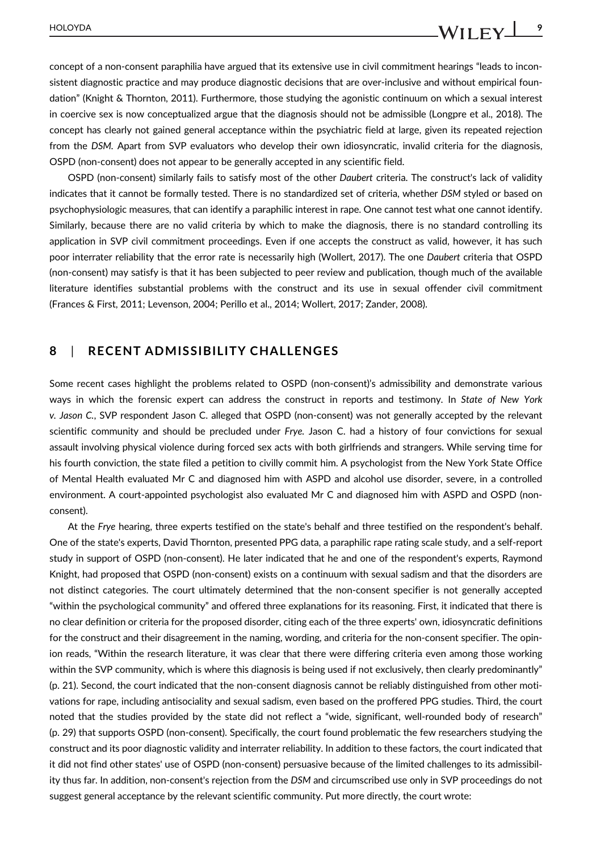concept of a non-consent paraphilia have argued that its extensive use in civil commitment hearings "leads to inconsistent diagnostic practice and may produce diagnostic decisions that are over-inclusive and without empirical foundation" (Knight & Thornton, 2011). Furthermore, those studying the agonistic continuum on which a sexual interest in coercive sex is now conceptualized argue that the diagnosis should not be admissible (Longpre et al., 2018). The concept has clearly not gained general acceptance within the psychiatric field at large, given its repeated rejection from the *DSM.* Apart from SVP evaluators who develop their own idiosyncratic, invalid criteria for the diagnosis, OSPD (non-consent) does not appear to be generally accepted in any scientific field.

OSPD (non-consent) similarly fails to satisfy most of the other *Daubert* criteria. The construct's lack of validity indicates that it cannot be formally tested. There is no standardized set of criteria, whether *DSM* styled or based on psychophysiologic measures, that can identify a paraphilic interest in rape. One cannot test what one cannot identify. Similarly, because there are no valid criteria by which to make the diagnosis, there is no standard controlling its application in SVP civil commitment proceedings. Even if one accepts the construct as valid, however, it has such poor interrater reliability that the error rate is necessarily high (Wollert, 2017). The one *Daubert* criteria that OSPD (non-consent) may satisfy is that it has been subjected to peer review and publication, though much of the available literature identifies substantial problems with the construct and its use in sexual offender civil commitment (Frances & First, 2011; Levenson, 2004; Perillo et al., 2014; Wollert, 2017; Zander, 2008).

#### **8** | **RECENT ADMISSIBILITY CHALLENGES**

Some recent cases highlight the problems related to OSPD (non-consent)'s admissibility and demonstrate various ways in which the forensic expert can address the construct in reports and testimony. In *State of New York v. Jason C.*, SVP respondent Jason C. alleged that OSPD (non-consent) was not generally accepted by the relevant scientific community and should be precluded under *Frye.* Jason C. had a history of four convictions for sexual assault involving physical violence during forced sex acts with both girlfriends and strangers. While serving time for his fourth conviction, the state filed a petition to civilly commit him. A psychologist from the New York State Office of Mental Health evaluated Mr C and diagnosed him with ASPD and alcohol use disorder, severe, in a controlled environment. A court-appointed psychologist also evaluated Mr C and diagnosed him with ASPD and OSPD (nonconsent).

At the *Frye* hearing, three experts testified on the state's behalf and three testified on the respondent's behalf. One of the state's experts, David Thornton, presented PPG data, a paraphilic rape rating scale study, and a self-report study in support of OSPD (non-consent). He later indicated that he and one of the respondent's experts, Raymond Knight, had proposed that OSPD (non-consent) exists on a continuum with sexual sadism and that the disorders are not distinct categories. The court ultimately determined that the non-consent specifier is not generally accepted "within the psychological community" and offered three explanations for its reasoning. First, it indicated that there is no clear definition or criteria for the proposed disorder, citing each of the three experts' own, idiosyncratic definitions for the construct and their disagreement in the naming, wording, and criteria for the non-consent specifier. The opinion reads, "Within the research literature, it was clear that there were differing criteria even among those working within the SVP community, which is where this diagnosis is being used if not exclusively, then clearly predominantly" (p. 21). Second, the court indicated that the non-consent diagnosis cannot be reliably distinguished from other motivations for rape, including antisociality and sexual sadism, even based on the proffered PPG studies. Third, the court noted that the studies provided by the state did not reflect a "wide, significant, well-rounded body of research" (p. 29) that supports OSPD (non-consent). Specifically, the court found problematic the few researchers studying the construct and its poor diagnostic validity and interrater reliability. In addition to these factors, the court indicated that it did not find other states' use of OSPD (non-consent) persuasive because of the limited challenges to its admissibility thus far. In addition, non-consent's rejection from the *DSM* and circumscribed use only in SVP proceedings do not suggest general acceptance by the relevant scientific community. Put more directly, the court wrote: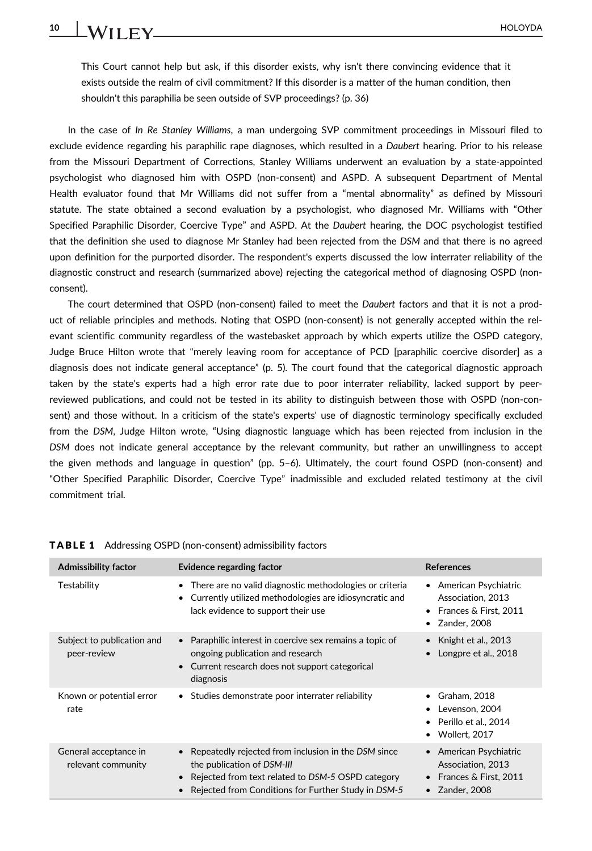This Court cannot help but ask, if this disorder exists, why isn't there convincing evidence that it exists outside the realm of civil commitment? If this disorder is a matter of the human condition, then shouldn't this paraphilia be seen outside of SVP proceedings? (p. 36)

In the case of *In Re Stanley Williams*, a man undergoing SVP commitment proceedings in Missouri filed to exclude evidence regarding his paraphilic rape diagnoses, which resulted in a *Daubert* hearing. Prior to his release from the Missouri Department of Corrections, Stanley Williams underwent an evaluation by a state-appointed psychologist who diagnosed him with OSPD (non-consent) and ASPD. A subsequent Department of Mental Health evaluator found that Mr Williams did not suffer from a "mental abnormality" as defined by Missouri statute. The state obtained a second evaluation by a psychologist, who diagnosed Mr. Williams with "Other Specified Paraphilic Disorder, Coercive Type" and ASPD. At the *Daubert* hearing, the DOC psychologist testified that the definition she used to diagnose Mr Stanley had been rejected from the *DSM* and that there is no agreed upon definition for the purported disorder. The respondent's experts discussed the low interrater reliability of the diagnostic construct and research (summarized above) rejecting the categorical method of diagnosing OSPD (nonconsent).

The court determined that OSPD (non-consent) failed to meet the *Daubert* factors and that it is not a product of reliable principles and methods. Noting that OSPD (non-consent) is not generally accepted within the relevant scientific community regardless of the wastebasket approach by which experts utilize the OSPD category, Judge Bruce Hilton wrote that "merely leaving room for acceptance of PCD [paraphilic coercive disorder] as a diagnosis does not indicate general acceptance" (p. 5). The court found that the categorical diagnostic approach taken by the state's experts had a high error rate due to poor interrater reliability, lacked support by peerreviewed publications, and could not be tested in its ability to distinguish between those with OSPD (non-consent) and those without. In a criticism of the state's experts' use of diagnostic terminology specifically excluded from the *DSM*, Judge Hilton wrote, "Using diagnostic language which has been rejected from inclusion in the *DSM* does not indicate general acceptance by the relevant community, but rather an unwillingness to accept the given methods and language in question" (pp. 5–6). Ultimately, the court found OSPD (non-consent) and "Other Specified Paraphilic Disorder, Coercive Type" inadmissible and excluded related testimony at the civil commitment trial.

| <b>Admissibility factor</b>                 | Evidence regarding factor                                                                                                                                                                     | <b>References</b>                                                                                           |
|---------------------------------------------|-----------------------------------------------------------------------------------------------------------------------------------------------------------------------------------------------|-------------------------------------------------------------------------------------------------------------|
| Testability                                 | There are no valid diagnostic methodologies or criteria<br>٠<br>Currently utilized methodologies are idiosyncratic and<br>$\bullet$<br>lack evidence to support their use                     | American Psychiatric<br>٠<br>Association, 2013<br>• Frances & First, 2011<br>Zander, 2008                   |
| Subject to publication and<br>peer-review   | • Paraphilic interest in coercive sex remains a topic of<br>ongoing publication and research<br>Current research does not support categorical<br>diagnosis                                    | • Knight et al., $2013$<br>Longpre et al., 2018                                                             |
| Known or potential error<br>rate            | • Studies demonstrate poor interrater reliability                                                                                                                                             | Graham, 2018<br>٠<br>Levenson, 2004<br>٠<br>• Perillo et al., 2014<br>Wollert, 2017                         |
| General acceptance in<br>relevant community | Repeatedly rejected from inclusion in the DSM since<br>the publication of DSM-III<br>Rejected from text related to DSM-5 OSPD category<br>Rejected from Conditions for Further Study in DSM-5 | • American Psychiatric<br>Association, 2013<br>Frances & First, 2011<br>$\bullet$<br>$\bullet$ Zander, 2008 |

TABLE 1 Addressing OSPD (non-consent) admissibility factors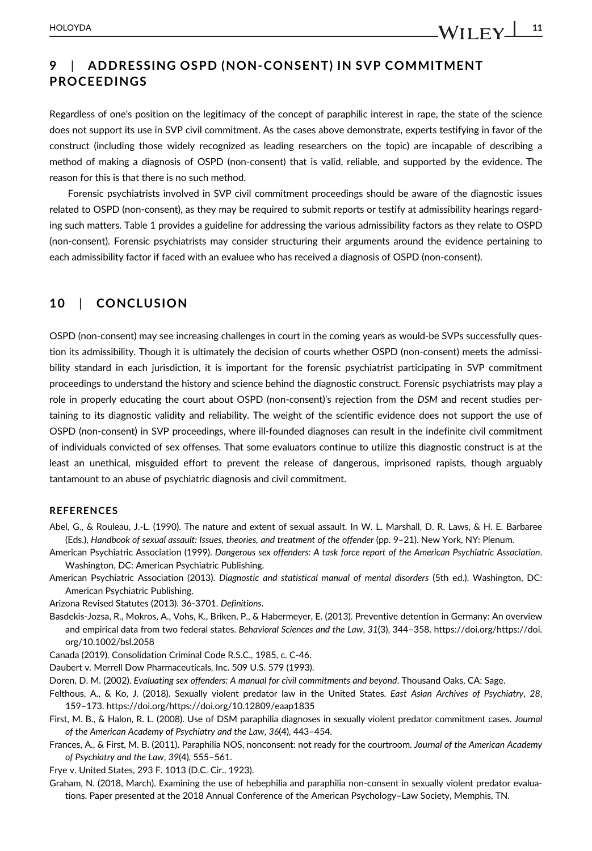Regardless of one's position on the legitimacy of the concept of paraphilic interest in rape, the state of the science does not support its use in SVP civil commitment. As the cases above demonstrate, experts testifying in favor of the construct (including those widely recognized as leading researchers on the topic) are incapable of describing a method of making a diagnosis of OSPD (non-consent) that is valid, reliable, and supported by the evidence. The reason for this is that there is no such method.

Forensic psychiatrists involved in SVP civil commitment proceedings should be aware of the diagnostic issues related to OSPD (non-consent), as they may be required to submit reports or testify at admissibility hearings regarding such matters. Table 1 provides a guideline for addressing the various admissibility factors as they relate to OSPD (non-consent). Forensic psychiatrists may consider structuring their arguments around the evidence pertaining to each admissibility factor if faced with an evaluee who has received a diagnosis of OSPD (non-consent).

### **10** | **CONCLUSION**

OSPD (non-consent) may see increasing challenges in court in the coming years as would-be SVPs successfully question its admissibility. Though it is ultimately the decision of courts whether OSPD (non-consent) meets the admissibility standard in each jurisdiction, it is important for the forensic psychiatrist participating in SVP commitment proceedings to understand the history and science behind the diagnostic construct. Forensic psychiatrists may play a role in properly educating the court about OSPD (non-consent)'s rejection from the *DSM* and recent studies pertaining to its diagnostic validity and reliability. The weight of the scientific evidence does not support the use of OSPD (non-consent) in SVP proceedings, where ill-founded diagnoses can result in the indefinite civil commitment of individuals convicted of sex offenses. That some evaluators continue to utilize this diagnostic construct is at the least an unethical, misguided effort to prevent the release of dangerous, imprisoned rapists, though arguably tantamount to an abuse of psychiatric diagnosis and civil commitment.

#### **REFERENCES**

- Abel, G., & Rouleau, J.-L. (1990). The nature and extent of sexual assault. In W. L. Marshall, D. R. Laws, & H. E. Barbaree (Eds.), *Handbook of sexual assault: Issues, theories, and treatment of the offender* (pp. 9–21). New York, NY: Plenum.
- American Psychiatric Association (1999). *Dangerous sex offenders: A task force report of the American Psychiatric Association*. Washington, DC: American Psychiatric Publishing.
- American Psychiatric Association (2013). *Diagnostic and statistical manual of mental disorders* (5th ed.). Washington, DC: American Psychiatric Publishing.
- Arizona Revised Statutes (2013). 36-3701. *Definitions*.
- Basdekis-Jozsa, R., Mokros, A., Vohs, K., Briken, P., & Habermeyer, E. (2013). Preventive detention in Germany: An overview and empirical data from two federal states. *Behavioral Sciences and the Law*, *31*(3), 344–358. https://doi.org/[https://doi.](https://doi.org/10.1002/bsl.2058) [org/10.1002/bsl.2058](https://doi.org/10.1002/bsl.2058)
- Canada (2019). Consolidation Criminal Code R.S.C., 1985, c. C-46.
- Daubert v. Merrell Dow Pharmaceuticals, Inc. 509 U.S. 579 (1993).
- Doren, D. M. (2002). *Evaluating sex offenders: A manual for civil commitments and beyond*. Thousand Oaks, CA: Sage.
- Felthous, A., & Ko, J. (2018). Sexually violent predator law in the United States. *East Asian Archives of Psychiatry*, *28*, 159–173. https://doi.org/<https://doi.org/10.12809/eaap1835>
- First, M. B., & Halon, R. L. (2008). Use of DSM paraphilia diagnoses in sexually violent predator commitment cases. *Journal of the American Academy of Psychiatry and the Law*, *36*(4), 443–454.
- Frances, A., & First, M. B. (2011). Paraphilia NOS, nonconsent: not ready for the courtroom. *Journal of the American Academy of Psychiatry and the Law*, *39*(4), 555–561.
- Frye v. United States, 293 F. 1013 (D.C. Cir., 1923).
- Graham, N. (2018, March). Examining the use of hebephilia and paraphilia non-consent in sexually violent predator evaluations. Paper presented at the 2018 Annual Conference of the American Psychology–Law Society, Memphis, TN.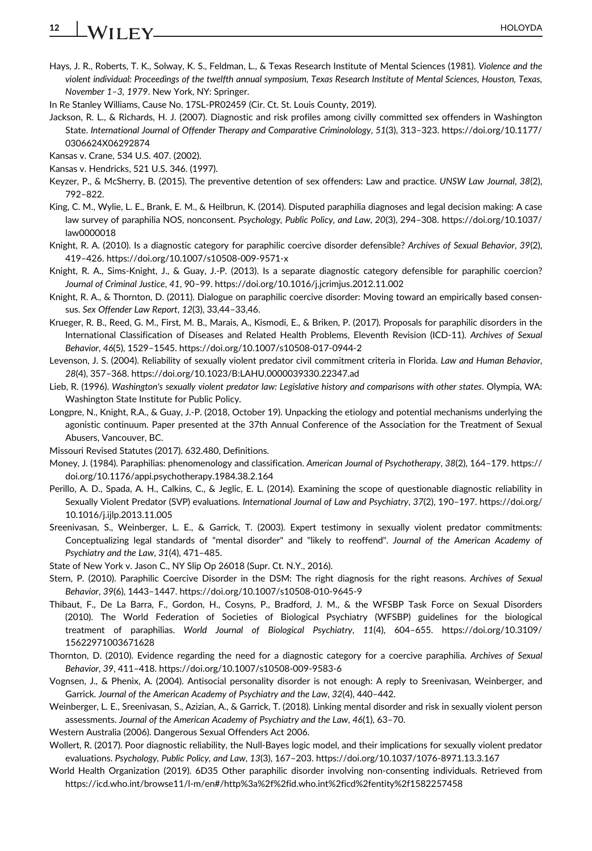# **12** HOLOYDA

- Hays, J. R., Roberts, T. K., Solway, K. S., Feldman, L., & Texas Research Institute of Mental Sciences (1981). *Violence and the violent individual: Proceedings of the twelfth annual symposium, Texas Research Institute of Mental Sciences, Houston, Texas, November 1–3, 1979*. New York, NY: Springer.
- In Re Stanley Williams, Cause No. 17SL-PR02459 (Cir. Ct. St. Louis County, 2019).
- Jackson, R. L., & Richards, H. J. (2007). Diagnostic and risk profiles among civilly committed sex offenders in Washington State. *International Journal of Offender Therapy and Comparative Criminolology*, *51*(3), 313–323. [https://doi.org/10.1177/](https://doi.org/10.1177/0306624X06292874) [0306624X06292874](https://doi.org/10.1177/0306624X06292874)
- Kansas v. Crane, 534 U.S. 407. (2002).
- Kansas v. Hendricks, 521 U.S. 346. (1997).
- Keyzer, P., & McSherry, B. (2015). The preventive detention of sex offenders: Law and practice. *UNSW Law Journal*, *38*(2), 792–822.
- King, C. M., Wylie, L. E., Brank, E. M., & Heilbrun, K. (2014). Disputed paraphilia diagnoses and legal decision making: A case law survey of paraphilia NOS, nonconsent. *Psychology, Public Policy, and Law*, *20*(3), 294–308. [https://doi.org/10.1037/](https://doi.org/10.1037/law0000018) [law0000018](https://doi.org/10.1037/law0000018)
- Knight, R. A. (2010). Is a diagnostic category for paraphilic coercive disorder defensible? *Archives of Sexual Behavior*, *39*(2), 419–426.<https://doi.org/10.1007/s10508-009-9571-x>
- Knight, R. A., Sims-Knight, J., & Guay, J.-P. (2013). Is a separate diagnostic category defensible for paraphilic coercion? *Journal of Criminal Justice*, *41*, 90–99.<https://doi.org/10.1016/j.jcrimjus.2012.11.002>
- Knight, R. A., & Thornton, D. (2011). Dialogue on paraphilic coercive disorder: Moving toward an empirically based consensus. *Sex Offender Law Report*, *12*(3), 33,44–33,46.
- Krueger, R. B., Reed, G. M., First, M. B., Marais, A., Kismodi, E., & Briken, P. (2017). Proposals for paraphilic disorders in the International Classification of Diseases and Related Health Problems, Eleventh Revision (ICD-11). *Archives of Sexual Behavior*, *46*(5), 1529–1545.<https://doi.org/10.1007/s10508-017-0944-2>
- Levenson, J. S. (2004). Reliability of sexually violent predator civil commitment criteria in Florida. *Law and Human Behavior*, *28*(4), 357–368.<https://doi.org/10.1023/B:LAHU.0000039330.22347.ad>
- Lieb, R. (1996). *Washington's sexually violent predator law: Legislative history and comparisons with other states*. Olympia, WA: Washington State Institute for Public Policy.
- Longpre, N., Knight, R.A., & Guay, J.-P. (2018, October 19). Unpacking the etiology and potential mechanisms underlying the agonistic continuum. Paper presented at the 37th Annual Conference of the Association for the Treatment of Sexual Abusers, Vancouver, BC.
- Missouri Revised Statutes (2017). 632.480, Definitions.
- Money, J. (1984). Paraphilias: phenomenology and classification. *American Journal of Psychotherapy*, *38*(2), 164–179. [https://](https://doi.org/10.1176/appi.psychotherapy.1984.38.2.164) [doi.org/10.1176/appi.psychotherapy.1984.38.2.164](https://doi.org/10.1176/appi.psychotherapy.1984.38.2.164)
- Perillo, A. D., Spada, A. H., Calkins, C., & Jeglic, E. L. (2014). Examining the scope of questionable diagnostic reliability in Sexually Violent Predator (SVP) evaluations. *International Journal of Law and Psychiatry*, *37*(2), 190–197. [https://doi.org/](https://doi.org/10.1016/j.ijlp.2013.11.005) [10.1016/j.ijlp.2013.11.005](https://doi.org/10.1016/j.ijlp.2013.11.005)
- Sreenivasan, S., Weinberger, L. E., & Garrick, T. (2003). Expert testimony in sexually violent predator commitments: Conceptualizing legal standards of "mental disorder" and "likely to reoffend". *Journal of the American Academy of Psychiatry and the Law*, *31*(4), 471–485.
- State of New York v. Jason C., NY Slip Op 26018 (Supr. Ct. N.Y., 2016).
- Stern, P. (2010). Paraphilic Coercive Disorder in the DSM: The right diagnosis for the right reasons. *Archives of Sexual Behavior*, *39*(6), 1443–1447.<https://doi.org/10.1007/s10508-010-9645-9>
- Thibaut, F., De La Barra, F., Gordon, H., Cosyns, P., Bradford, J. M., & the WFSBP Task Force on Sexual Disorders (2010). The World Federation of Societies of Biological Psychiatry (WFSBP) guidelines for the biological treatment of paraphilias. *World Journal of Biological Psychiatry*, *11*(4), 604–655. [https://doi.org/10.3109/](https://doi.org/10.3109/15622971003671628) [15622971003671628](https://doi.org/10.3109/15622971003671628)
- Thornton, D. (2010). Evidence regarding the need for a diagnostic category for a coercive paraphilia. *Archives of Sexual Behavior*, *39*, 411–418.<https://doi.org/10.1007/s10508-009-9583-6>
- Vognsen, J., & Phenix, A. (2004). Antisocial personality disorder is not enough: A reply to Sreenivasan, Weinberger, and Garrick. *Journal of the American Academy of Psychiatry and the Law*, *32*(4), 440–442.
- Weinberger, L. E., Sreenivasan, S., Azizian, A., & Garrick, T. (2018). Linking mental disorder and risk in sexually violent person assessments. *Journal of the American Academy of Psychiatry and the Law*, *46*(1), 63–70.
- Western Australia (2006). Dangerous Sexual Offenders Act 2006.
- Wollert, R. (2017). Poor diagnostic reliability, the Null-Bayes logic model, and their implications for sexually violent predator evaluations. *Psychology, Public Policy, and Law*, *13*(3), 167–203.<https://doi.org/10.1037/1076-8971.13.3.167>
- World Health Organization (2019). 6D35 Other paraphilic disorder involving non-consenting individuals. Retrieved from <https://icd.who.int/browse11/l-m/en#/http%3a%2f%2fid.who.int%2ficd%2fentity%2f1582257458>